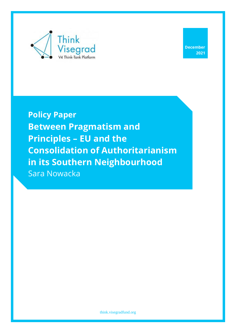

**Policy Paper Between Pragmatism and Principles – EU and the Consolidation of Authoritarianism in its Southern Neighbourhood** Sara Nowacka

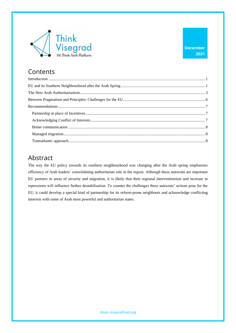

## Contents

### Abstract

The way the EU policy towards its southern neighbourhood was changing after the Arab spring emphasises efficiency of Arab leaders' consolidating authoritarian rule in the region. Although these autocrats are important EU partners in areas of security and migration, it is likely that their regional interventionism and increase in repressions will influence further destabilisation. To counter the challenges these autocrats' actions pose for the EU, it could develop a special kind of partnership for its reform-prone neighbours and acknowledge conflicting interests with some of Arab most powerful and authoritarian states.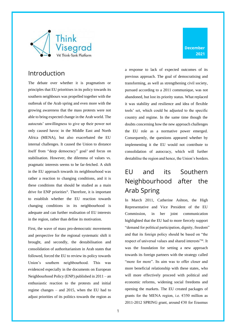

### <span id="page-2-0"></span>Introduction

The debate over whether it is pragmatism or principles that EU prioritises in its policy towards its southern neighbours was propelled together with the outbreak of the Arab spring and even more with the growing awareness that the mass protests were not able to bring expected change in the Arab world. The autocrats' unwillingness to give up their power not only caused havoc in the Middle East and North Africa (MENA), but also exacerbated the EU internal challenges. It caused the Union to distance itself from "deep democracy" goal<sup>i</sup> and focus on stabilisation. However, the dilemma of values vs. pragmatic interests seems to be far-fetched. A shift in the EU approach towards its neighbourhood was rather a reaction to changing conditions, and it is these conditions that should be studied as a main drive for ENP priorities<sup>ii</sup>. Therefore, it is important to establish whether the EU reaction towards changing conditions in its neighbourhood is adequate and can further realisation of EU interests in the region, rather than define its motivation.

First, the wave of mass pro-democratic movements and perspective for the regional systematic shift it brought, and secondly, the destabilisation and consolidation of authoritarianism in Arab states that followed, forced the EU to review its policy towards Union's southern neighbourhood. This was evidenced especially in the documents on European Neighbourhood Policy (ENP) published in 2011 – an enthusiastic reaction to the protests and initial regime changes – and 2015, when the EU had to adjust priorities of its politics towards the region as a response to lack of expected outcomes of its previous approach. The goal of democratising and transforming, as well as strengthening civil society, pursued according to a 2011 communique, was not abandoned, but lost its priority status. What replaced it was stability and resilience and idea of flexible tools' set, which could be adjusted to the specific country and regime. In the same time though the doubts concerning how the new approach challenges the EU role as a normative power emerged. Consequently, the questions appeared whether by implementing it the EU would not contribute to consolidation of autocracy, which will further destabilise the region and hence, the Union's borders.

# <span id="page-2-1"></span>EU and its Southern Neighbourhood after the Arab Spring

In March 2011, Catherine Ashton, the High Representative and Vice President of the EU Commission, in her joint communication highlighted that the EU had to more fiercely support "demand for political participation, dignity, freedom" and that its foreign policy should be based on "the respect of universal values and shared interests"iii. It was the foundation for setting a new approach towards its foreign partners with the strategy called "more for more". Its aim was to offer closer and more beneficial relationship with these states, who will more effectively proceed with political and economic reforms, widening social freedoms and opening the markets. The EU created packages of grants for the MENA region, i.e. €350 million as 2011-2012 SPRING grant, around €30 for Erasmus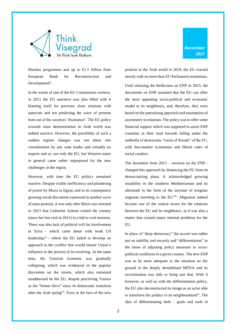

Mundus programme and up to  $\epsilon$ 2.5 billion from European Bank for Reconstruction and Developmentiv.

In the words of one of the EU Commission workers, in 2011 the EU narrative was also filled with it blaming itself for previous close relations with autocrats and not predicting the wave of protests born out of the societies' frustration<sup>v</sup>. The EU policy towards mass demonstration in Arab world was indeed reactive. However, the possibility of such a sudden regime changes was not taken into consideration by any state leader and virtually no experts and so, not only the EU, but Western states in general came rather unprepared for the new challenges in the region.

However, with time the EU politics remained reactive. Despite visible inefficiency and plundering of power by Mursi in Egypt, and in its consequence growing social discontent expressed in another wave of mass protests, it was only after Mursi was arrested in 2013 that Catharine Ashton visited the country (since her last visit in 2011) in a bid to cool tensions. There was also lack of political will for involvement in Syria - which came about with weak US leadership<sup>vi</sup> - where the EU failed to develop an approach to the conflict that would ensure Union's influence in the process of its resolving. At the same time, the Tunisian economy was gradually collapsing, which was evidenced in the popular discontent on the streets, which also remained unaddressed be the EU, despite perceiving Tunisia as the "bonne élève" since its democratic transition after the Arab spring<sup>vii</sup>. Even in the face of the new protests in the Arab world in 2019, the EU reacted mostly with no more than EU Parliament resolutions.

Until releasing the Reflection on ENP in 2015, the documents on ENP assumed that the EU can offer the most appealing socio-political and economic model to its neighbours, and, therefore, they were based on the patronising approach and assumption of asymmetry in relations. The policy was to offer some financial support which was supposed to assist ENP countries in their road towards falling under the umbrella of democratic "circle of friends" of the EU, with free-market economies and liberal rules of social conduct.

The document from 2015 – revision on the ENP changed this approach by distancing the EU from its democratising plans. It acknowledged growing instability in the southern Mediterranean and its aftermath in the form of the increase of irregular migrants traveling to the EU<sup>viii</sup>. Migration indeed became one of the central issues for the relations between the EU and its neighbours, as it was also a matter that created major internal problems for the EU.

In place of "deep democracy" the accent was rather put on stability and security and "differentiation" in the sense of adjusting policy measures to sociopolitical conditions in a given country. The new ENP was to be more adequate to the situation on the ground in the deeply destabilised MENA and its securitisation was able to bring just that. With it however, as well as with the differentiation policy, the EU also deconstructed its image as an actor able to transform the politics in its neighbourhood<sup>ix</sup>. The idea of differentiating both – goals and tools in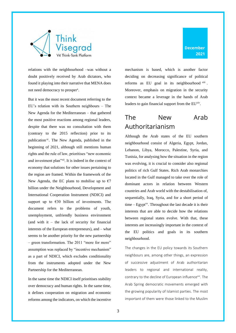

relations with the neighbourhood –was without a doubt positively received by Arab dictators, who found it playing into their narrative that MENA does not need democracy to prosper<sup>x</sup>.

But it was the most recent document referring to the EU's relation with its Southern neighbours – The New Agenda for the Mediterranean – that gathered the most positive reactions among regional leaders, despite that there was no consultation with them (contrary to the 2015 reflection) prior to its publication<sup>xi</sup>. The New Agenda, published in the beginning of 2021, although still mentions human rights and the rule of law, prioritises "new economic and investment plan"xii. It is indeed in the context of economy that solutions for other issues pertaining to the region are framed. Within the framework of the New Agenda, the EC plans to mobilise up to  $\epsilon$ 7 billion under the Neighbourhood, Development and International Cooperation Instrument (NDICI) and support up to  $\epsilon$ 30 billion of investments. The document refers to the problems of youth, unemployment, unfriendly business environment (and with it – the lack of security for financial interests of the European entrepreneurs), and – what seems to be another priority for the new partnership – green transformation. The 2011 "more for more" assumption was replaced by "incentive mechanism" as a part of NDICI, which excludes conditionality from the instruments adopted under the New Partnership for the Mediterranean.

In the same time the NDICI itself prioritises stability over democracy and human rights. In the same time, it defines cooperation on migration and economic reforms among the indicators, on which the incentive mechanism is based, which is another factor deciding on decreasing significance of political reforms as EU goal in its neighbourhood xiii. Moreover, emphasis on migration in the security context became a leverage in the hands of Arab leaders to gain financial support from the EU<sup>xiv</sup>.

**December 2021**

# <span id="page-4-0"></span>The New Arab Authoritarianism

Although the Arab states of the EU southern neighbourhood consist of Algeria, Egypt, Jordan, Lebanon, Libya, Morocco, Palestine, Syria, and Tunisia, for analysing how the situation in the region was evolving, it is crucial to consider also regional politics of rich Gulf States. Rich Arab monarchies located in the Gulf managed to take over the role of dominant actors in relation between Western countries and Arab world with the destabilisation of, sequentially, Iraq, Syria, and for a short period of  $time - Egypt^{xy}$ . Throughout the last decade it is their interests that are able to decide how the relations between regional states evolve. With that, these interests are increasingly important in the context of the EU politics and goals in its southern neighbourhood.

The changes in the EU policy towards its Southern neighbours are, among other things, an expression of successive adjustment of Arab authoritarian leaders to regional and international reality, contrary to the decline of European influence<sup>xvi</sup>. The Arab Spring democratic movements emerged with the growing popularity of Islamist parties. The most important of them were those linked to the Muslim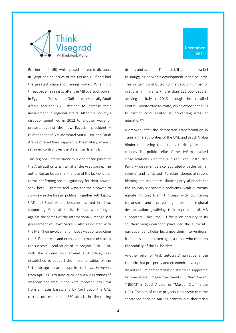

Brotherhood (MB), which posed a threat to dictators in Egypt and countries of the Persian Gulf and had the greatest chance of seizing power. When this threat became realistic after the MB overtook power in Egypt and Tunisia, the Gulf states, especially Saudi Arabia and the UAE, decided to increase their involvement in regional affairs. After the society's disappointment led in 2012 to another wave of protests against the new Egyptian president – related to the MB Muhammad Mursi - UAE and Saudi Arabia offered their support for the military, when it regained control over the state from Islamists.

This regional interventionism is one of the pillars of the Arab authoritarianism after the Arab spring. The authoritarian leaders, in the face of the lack of other forms confirming social legitimacy for their power, seek both – threats and ways for their power to survive – in the foreign politics. Together with Egypt, UAE and Saudi Arabia became involved in Libya, supporting General Khalifa Haftar, who fought against the forces of the internationally recognised government of Fayez Sarraj – also associated with the MB. Their involvement in Libya was contradicting the EU's interests and exposed it to major obstacles for successful realisation of its project IRINI. IRINI, with the annual cost around €10 billion, was established to support the implementation of the UN embargo on arms supplies to Libya. However, from April 2019 to June 2020, about 6,200 tonnes of weapons and ammunition were imported into Libya from Emirates bases, and by April 2020, the UAE carried out more than 850 attacks in Libya using drones and aviation. The destabilisation of Libya led to smuggling networks development in the country. This in turn contributed to the record number of irregular immigrants (more than 181,000 people) arriving in Italy in 2016 through the so-called Central-Mediterranean route, which exposed the EU to further costs related to preventing irregular migration<sup>xvii</sup>.

Moreover, after the democratic transformation in Tunisia, the authorities of the UAE and Saudi Arabia hindered entering that state's territory for their citizens. The political elite of the UAE maintained close relations with the Tunisian Free Destourian Party, whose members collaborated with the former regime and criticised Tunisian democratisation, blaming the moderate Islamist party al-Nahda for the country's economic problems. Arab autocrats equate fighting Islamist groups with countering terrorism and preventing further regional destabilisation, justifying their repression of MB supporters. Thus, the EU focus on security in its southern neighbourhood plays into the autocrats' narrative, as it helps legitimise their interventions, framed as actions taken against those who threaten the stability of the EU borders.

Another pillar of Arab autocrats' narrative is the rhetoric that prosperity and economic development do not require democratisation. It is to be supported by innovative "mega-investments" ("New Cairo", "NEOM" in Saudi Arabia, or "Masdar City" in the UAE). The aim of these projects is to prove that the shortened decision-making process in authoritarian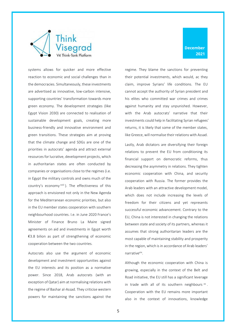

systems allows for quicker and more effective reaction to economic and social challenges than in the democracies. Simultaneously, these investments are advertised as innovative, low-carbon intensive, supporting countries' transformation towards more green economy. The development strategies (like Egypt Vision 2030) are connected to realisation of sustainable development goals, creating more business-friendly and innovative environment and green transitions. These strategies aim at proving that the climate change and SDGs are one of the priorities in autocrats' agenda and attract external resources for lucrative, development projects, which in authoritarian states are often conducted by companies or organisations close to the regimes (i.e. in Egypt the military controls and owns much of the country's economy xviii). The effectiveness of this approach is envisioned not only in the New Agenda for the Mediterranean economic priorities, but also in the EU member states cooperation with southern neighbourhood countries. I.e. in June 2020 France's Minister of Finance Bruno La Maire signed agreements on aid and investments in Egypt worth €3.8 bilion as part of strengthening of economic cooperation between the two countries.

Autocrats also use the argument of economic development and investment opportunities against the EU interests and its position as a normative power. Since 2018, Arab autocrats (with an exception of Qatar) aim at normalising relations with the regime of Bashar al-Assad. They criticise western powers for maintaining the sanctions against the regime. They blame the sanctions for preventing their potential investments, which would, ac they claim, improve Syrians' life conditions. The EU cannot accept the authority of Syrian president and his elites who committed war crimes and crimes against humanity and stay unpunished. However, with the Arab autocrats' narrative that their investments could help in facilitating Syrian refugees' returns, it is likely that some of the member states, like Greece, will normalise their relations with Assad.

Lastly, Arab dictators are diversifying their foreign relations to prevent the EU from conditioning its financial support on democratic reforms, thus decreasing the asymmetry in relations. They tighten economic cooperation with China, and security cooperation with Russia. The former provides the Arab leaders with an attractive development model, which does not include increasing the levels of freedom for their citizens and yet represents successful economic advancement. Contrary to the EU, China is not interested in changing the relations between state and society of its partners, whereas it assumes that strong authoritarian leaders are the most capable of maintaining stability and prosperity in the region, which is in accordance of Arab leaders' narrative<sup>xix</sup>.

Although the economic cooperation with China is growing, especially in the context of the Belt and Road initiative, the EU still has a significant leverage in trade with all of its southern neighbours  $^{xx}$ . Cooperation with the EU remains more important also in the context of innovations, knowledge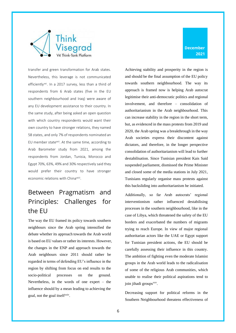

transfer and green transformation for Arab states. Nevertheless, this leverage is not communicated efficiently<sup>xxi</sup>. In a 2017 survey, less than a third of respondents from 6 Arab states (five in the EU southern neighbourhood and Iraq) were aware of any EU development assistance to their country. In the same study, after being asked an open question with which country respondents would want their own country to have stronger relations, they named 58 states, and only 7% of respondents nominated an EU member statexxii. At the same time, according to Arab Barometer study from 2021, among the respondents from Jordan, Tunisia, Morocco and Egypt 70%, 63%, 49% and 30% respectively said they would prefer their country to have stronger economic relations with China<sup>xxiii</sup>.

# <span id="page-7-0"></span>Between Pragmatism and Principles: Challenges for the EU

The way the EU framed its policy towards southern neighbours since the Arab spring intensified the debate whether its approach towards the Arab world is based on EU values or rather its interests. However, the changes in the ENP and approach towards the Arab neighbours since 2011 should rather be regarded in terms of defending EU's influence in the region by shifting from focus on end results to the socio-political processes on the ground. Nevertheless, in the words of one expert – the influence should by a mean leading to achieving the goal, not the goal itself<sup>xxiv</sup>.

Achieving stability and prosperity in the region is and should be the final assumption of the EU policy towards southern neighbourhood. The way its approach is framed now is helping Arab autocrat legitimise their anti-democratic politics and regional involvement, and therefore – consolidation of authoritarianism in the Arab neighbourhood. This can increase stability in the region in the short term, but, as evidenced in the mass protests from 2019 and 2020, the Arab spring was a breakthrough in the way Arab societies express their discontent against dictators, and therefore, in the longer perspective consolidation of authoritarianism will lead to further destabilisation. Since Tunisian president Kais Said suspended parliament, dismissed the Prime Minister and closed some of the media stations in July 2021, Tunisians regularly organise mass protests against this backsliding into authoritarianism he initiated.

Additionally, so far Arab autocrats' regional interventionism rather influenced destabilising processes in the southern neighbourhood, like in the case of Libya, which threatened the safety of the EU borders and exacerbated the numbers of migrants trying to reach Europe. In view of major regional authoritarian actors like the UAE or Egypt support for Tunisian president actions, the EU should be carefully assessing their influence in this country. The ambition of fighting even the moderate Islamist groups in the Arab world leads to the radicalisation of some of the religious Arab communities, which unable to realise their political aspirations tend to join jihadi groups<sup>xxv</sup>.

Decreasing support for political reforms in the Southern Neighbourhood threatens effectiveness of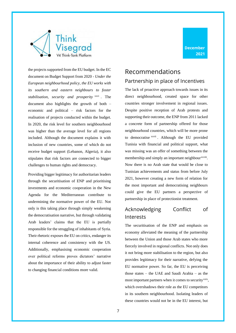

the projects supported from the EU budget. In the EC document on Budget Support from 2020 - *Under the European neighbourhood policy, the EU works with its southern and eastern neighbours to foster stabilisation, security and prosperity* xxvi *.* The document also highlights the growth of both – economic and political – risk factors for the realisation of projects conducted within the budget. In 2020, the risk level for southern neighbourhood was higher than the average level for all regions included. Although the document explains it with inclusion of new countries, some of which do not receive budget support (Lebanon, Algeria), it also stipulates that risk factors are connected to bigger challenges to human rights and democracy.

Providing bigger legitimacy for authoritarian leaders through the securitisation of ENP and prioritising investments and economic cooperation in the New Agenda for the Mediterranean contribute to undermining the normative power of the EU. Not only is this taking place through simply weakening the democratisation narrative, but through validating Arab leaders' claims that the EU is partially responsible for the struggling of inhabitants of Syria. Their rhetoric exposes the EU on critics, endanger its internal coherence and consistency with the US. Additionally, emphasising economic cooperation over political reforms proves dictators' narrative about the importance of their ability to adjust faster to changing financial conditions more valid.

### <span id="page-8-1"></span><span id="page-8-0"></span>Recommendations Partnership in place of Incentives

The lack of proactive approach towards issues in its direct neighbourhood, created space for other countries stronger involvement in regional issues. Despite positive reception of Arab protests and supporting their outcome, the ENP from 2011 lacked a concrete form of partnership offered for those neighbourhood countries, which will be more prone to democratise xxvii . Although the EU provided Tunisia with financial and political support, what was missing was an offer of something between the membership and simply an important neighbour<sup>xxviii</sup>. Now there is no Arab state that would be close to Tunisian achievements and status from before July 2021, however creating a new form of relation for the most important and democratising neighbours could give the EU partners a perspective of partnership in place of protectionist treatment.

### <span id="page-8-2"></span>Acknowledging Conflict of Interests

The securitisation of the ENP and emphasis on economy alleviated the meaning of the partnership between the Union and those Arab states who more fiercely involved in regional conflicts. Not only does it not bring more stabilisation to the region, but also provides legitimacy for their narrative, defying the EU normative power. So far, the EU is perceiving those states – the UAE and Saudi Arabia – as the most important partners when it comes to security<sup>xxix</sup>, which overshadows their role as the EU competitors in its southern neighbourhood. Isolating leaders of these countries would not be in the EU interest, but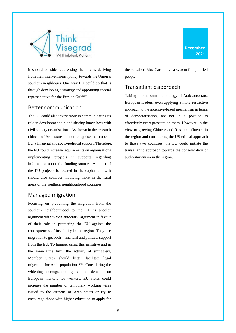

it should consider addressing the threats deriving from their interventionist policy towards the Union's southern neighbours. One way EU could do that is through developing a strategy and appointing special representative for the Persian Gulf<sup>xxx</sup>.

#### <span id="page-9-0"></span>Better communication

The EU could also invest more in communicating its role in development aid and sharing know-how with civil society organisations. As shown in the research citizens of Arab states do not recognise the scope of EU's financial and socio-political support. Therefore, the EU could increase requirements on organisations implementing projects it supports regarding information about the funding sources. As most of the EU projects is located in the capital cities, it should also consider involving more in the rural areas of the southern neighbourhood countries.

#### <span id="page-9-1"></span>Managed migration

Focusing on preventing the migration from the southern neighbourhood to the EU is another argument with which autocrats' argument in favour of their role in protecting the EU against the consequences of instability in the region. They use migration to get both – financial and political support from the EU. To hamper using this narrative and in the same time limit the activity of smugglers, Member States should better facilitate legal migration for Arab populations<sup>xxxi</sup>. Considering the widening demographic gaps and demand on European markets for workers, EU states could increase the number of temporary working visas issued to the citizens of Arab states or try to encourage those with higher education to apply for

the so-called Blue Card - a visa system for qualified people.

#### <span id="page-9-2"></span>Transatlantic approach

Taking into account the strategy of Arab autocrats, European leaders, even applying a more restrictive approach to the incentive-based mechanism in terms of democratisation, are not in a position to effectively exert pressure on them. However, in the view of growing Chinese and Russian influence in the region and considering the US critical approach to those two countries, the EU could initiate the transatlantic approach towards the consolidation of authoritarianism in the region.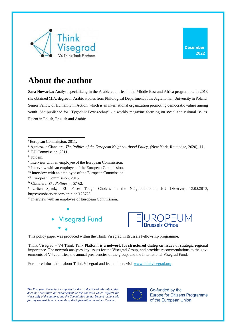

# **About the author**

**Sara Nowacka:** Analyst specializing in the Arabic countries in the Middle East and Africa programme. In 2018 she obtained M.A. degree in Arabic studies from Philological Department of the Jagiellonian University in Poland. Senior Fellow of Humanity in Action, which is an international organization promoting democratic values among youth. She published for "Tygodnik Powszechny" - a weekly magazine focusing on social and cultural issues. Fluent in Polish, English and Arabic.

iii EU Commission, 2011.

- viii European Commission, 2015.
- ix Cianciara, *The Politics…,* 57-62.

<sup>x</sup> Urlich Speck, "EU Faces Tough Choices in the Neighbourhood", EU Observer, 18.05.2015, https://euobserver.com/opinion/128728

xi Interview with an employee of European Commission.





This policy paper was produced within the Think Visegrad in Brussels Fellowship programme.

Think Visegrad – V4 Think Tank Platform is a **network for structured dialog** on issues of strategic regional importance. The network analyses key issues for the Visegrad Group, and provides recommendations to the governments of V4 countries, the annual presidencies of the group, and the International Visegrad Fund.

For more information about Think Visegrad and its members visit [www.thinkvisegrad.org](http://www.thinkvisegrad.org/) .

*The European Commission support for the production of this publication*  does not constitute an endorsement of the contents which reflects the *views only of the authors, and the Commission cannot be held responsible for any use which may be made of the information contained therein.*



Co-funded by the **Europe for Citizens Programme** of the European Union

<sup>i</sup> European Commission, 2011.

ii Agnieszka Cianciara, *The Politics of the European Neighbourhood Policy,* (New York, Routledge, 2020), 11.

iv Ibidem.

v Interview with an employee of the European Commission.

vi Interview with an employee of the European Commission.

vii Interview with an employee of the European Commission.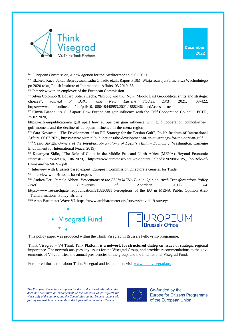



xii European Commission, A new Agenda for the Mediterranean, 9.02.2021.

xiii Elżbieta Kaca, Jakub Benedyczak, Lidia Gibadło et.al., Raport PISM: Wizja rozwoju Partnerstwa Wschodniego po 2020 roku, Polish Institute of International Affairs, 03.2019, 35.

xiv Interview with an employee of the European Commission.

xv Silvia Colombo & Eduard Soler i Lecha, "Europe and the 'New' Middle East Geopolitical shifts and strategic choices", *Journal of Balkan and Near Eastern Studies*, 23(3), 2021, 403-422, https://www.tandfonline.com/doi/pdf/10.1080/19448953.2021.1888246?needAccess=true

xvi Cinzia Bianco, "A Gulf apart: How Europe can gain influence with the Gulf Cooperation Council", ECFR, 25.02.2020,

https://ecfr.eu/publication/a\_gulf\_apart\_how\_europe\_can\_gain\_influence\_with\_gulf\_cooperation\_council/#thegulf-moment-and-the-decline-of-european-influence-in-the-mena-region

xvii Sara Nowacka, "The Development of an EU Strategy for the Persian Gulf", Polish Institute of International Affairs, 06.07.2021, https://www.pism.pl/publications/the-development-of-an-eu-strategy-for-the-persian-gulf xviii Yezid Sayigh, *Owners of the Republic. An Anatomy of Egypt's Military Economy,* (Washington, Carnegie Endowment for International Peace, 2019).

xix Katarzyna Sidło, "The Role of China in the Middle East and North Africa (MENA). Beyond Economic Interests?"EuroMeSCo, 06.2020, https://www.euromesco.net/wp-content/uploads/2020/05/JPS\_The-Role-of-China-in-the-MENA.pdf

xx Interview with Brussels based expert; European Commission Directorate General for Trade.

xxi Interview with Brussels based expert.

xxii Andrea Teti, Pamela Abbott, *Perceptions of the EU in MENA Public Opinion. Arab Transformations Policy Brief 2*, (University of Aberdeen, 2017), 3-4. https://www.researchgate.net/publication/315836881 Perceptions of the EU in MENA Public Opinion Arab \_Transformations\_Policy\_Brief\_2

xxiii Arab Barometer Wave VI, https://www.arabbarometer.org/surveys/covid-19-survey/





This policy paper was produced within the Think Visegrad in Brussels Fellowship programme.

Think Visegrad – V4 Think Tank Platform is a **network for structured dialog** on issues of strategic regional importance. The network analyses key issues for the Visegrad Group, and provides recommendations to the governments of V4 countries, the annual presidencies of the group, and the International Visegrad Fund.

For more information about Think Visegrad and its members visit [www.thinkvisegrad.org](http://www.thinkvisegrad.org/) .

*The European Commission support for the production of this publication does not constitute an endorsement of the contents which reflects the views only of the authors, and the Commission cannot be held responsible for any use which may be made of the information contained therein.*



Co-funded by the **Europe for Citizens Programme** of the European Union